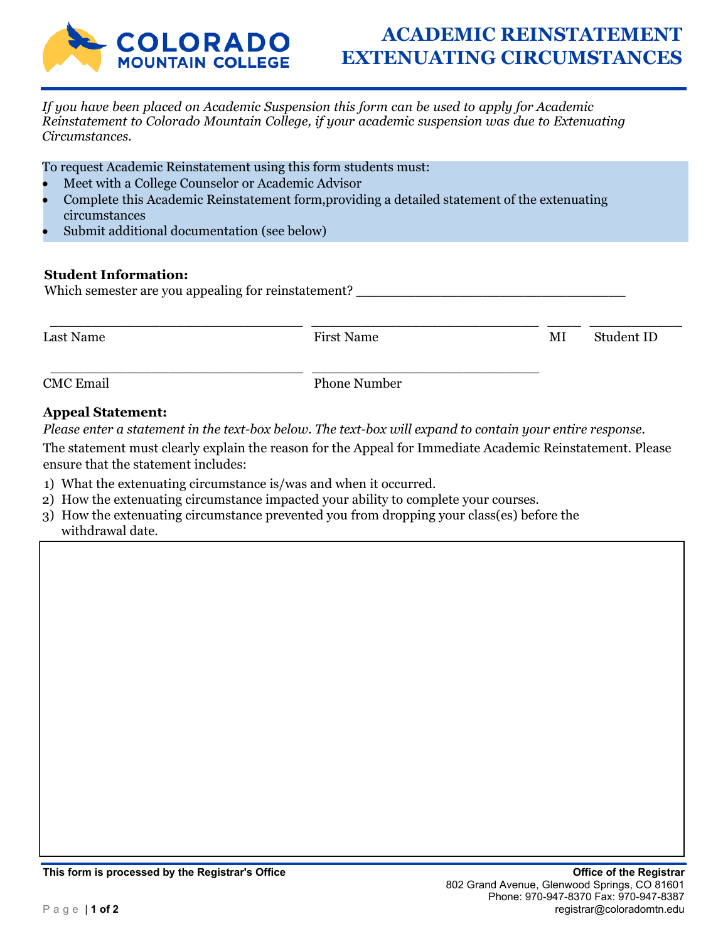

# **ACADEMIC REINSTATEMENT EXTENUATING CIRCUMSTANCES**

*If you have been placed on Academic Suspension this form can be used to apply for Academic Reinstatement to Colorado Mountain College, if your academic suspension was due to Extenuating Circumstances.*

To request Academic Reinstatement using this form students must:

- Meet with a College Counselor or Academic Advisor
- Complete this Academic Reinstatement form,providing a detailed statement of the extenuating circumstances
- Submit additional documentation (see below)

### **Student Information:**

Which semester are you appealing for reinstatement?

\_\_\_\_\_\_\_\_\_\_\_\_\_\_\_\_\_\_\_\_\_\_\_\_\_\_\_\_\_\_ \_\_\_\_\_\_\_\_\_\_\_\_\_\_\_\_\_\_\_\_\_\_\_\_\_\_\_ \_\_\_\_ \_\_\_\_\_\_\_\_\_\_\_ Last Name MI Student ID

CMC Email Phone Number

## **Appeal Statement:**

*Please enter a statement in the text-box below. The text-box will expand to contain your entire response.* 

The statement must clearly explain the reason for the Appeal for Immediate Academic Reinstatement. Please ensure that the statement includes:

- 1) What the extenuating circumstance is/was and when it occurred.
- 2) How the extenuating circumstance impacted your ability to complete your courses.

\_\_\_\_\_\_\_\_\_\_\_\_\_\_\_\_\_\_\_\_\_\_\_\_\_\_\_\_\_\_ \_\_\_\_\_\_\_\_\_\_\_\_\_\_\_\_\_\_\_\_\_\_\_\_\_\_\_

3) How the extenuating circumstance prevented you from dropping your class(es) before the withdrawal date.